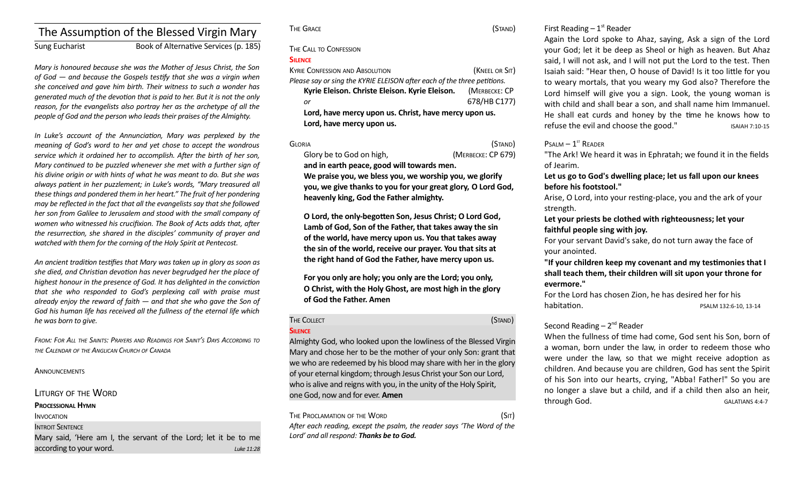# The Assumption of the Blessed Virgin Mary

Sung Eucharist Book of Alternative Services (p. 185)

*Mary is honoured because she was the Mother of Jesus Christ, the Son of God — and because the Gospels testfy that she was a virgin when she conceived and gave him birth. Their witness to such a wonder has generated much of the devoton that is paid to her. But it is not the only reason, for the evangelists also portray her as the archetype of all the people of God and the person who leads their praises of the Almighty.* 

In Luke's account of the Annunciation, Mary was perplexed by the *meaning of God's word to her and yet chose to accept the wondrous service which it ordained her to accomplish. Afer the birth of her son, Mary contnued to be puzzled whenever she met with a further sign of his divine origin or with hints of what he was meant to do. But she was always patent in her puzzlement; in Luke's words, "Mary treasured all these things and pondered them in her heart." The fruit of her pondering may be refected in the fact that all the evangelists say that she followed her son from Galilee to Jerusalem and stood with the small company of women who witnessed his crucifxion. The Book of Acts adds that, afer the resurrecton, she shared in the disciples' community of prayer and watched with them for the corning of the Holy Spirit at Pentecost.*

*An ancient traditon testfes that Mary was taken up in glory as soon as she died, and Christan devoton has never begrudged her the place of highest honour in the presence of God. It has delighted in the convicton that she who responded to God's perplexing call with praise must already enjoy the reward of faith — and that she who gave the Son of God his human life has received all the fullness of the eternal life which he was born to give.* 

FROM: FOR ALL THE SAINTS: PRAYERS AND READINGS FOR SAINT'S DAYS ACCORDING TO *THE CALENDAR OF THE ANGLICAN CHURCH OF CANADA*

**ANNOUNCEMENTS** 

### LITURGY OF THE WORD

### **PROCESSIONAL HYMN**

**INVOCATION** 

INTROIT SENTENCE

Mary said, 'Here am I, the servant of the Lord; let it be to me according to your word. *Luke 11:28*

THE CALL TO CONFESSION

## **SILENCE**

| <b>KYRIE CONFESSION AND ABSOLUTION</b>                                  | (KNEEL OR SIT) |  |
|-------------------------------------------------------------------------|----------------|--|
| Please say or sing the KYRIE ELEISON after each of the three petitions. |                |  |
| Kyrie Eleison. Christe Eleison. Kyrie Eleison.                          | (MERBECKE: CP  |  |
| or                                                                      | 678/HB C177)   |  |
| Lord, have mercy upon us. Christ, have mercy upon us.                   |                |  |
| Lord, have mercy upon us.                                               |                |  |
|                                                                         |                |  |

GLORIA (STAND) Glory be to God on high, *(MERBECKE: CP 679)* **and in earth peace, good will towards men.** 

**We praise you, we bless you, we worship you, we glorify you, we give thanks to you for your great glory, O Lord God, heavenly king, God the Father almighty.** 

**O Lord, the only-begoten Son, Jesus Christ; O Lord God, Lamb of God, Son of the Father, that takes away the sin of the world, have mercy upon us. You that takes away the sin of the world, receive our prayer. You that sits at the right hand of God the Father, have mercy upon us.** 

**For you only are holy; you only are the Lord; you only, O Christ, with the Holy Ghost, are most high in the glory of God the Father. Amen**

### The Collect (Stand) **SILENCE**

Almighty God, who looked upon the lowliness of the Blessed Virgin Mary and chose her to be the mother of your only Son: grant that we who are redeemed by his blood may share with her in the glory of your eternal kingdom; through Jesus Christ your Son our Lord, who is alive and reigns with you, in the unity of the Holy Spirit, one God, now and for ever. **Amen**

The Proclamation of the Word (SIT) (SIT) *Afer each reading, except the psalm, the reader says 'The Word of the Lord' and all respond: Thanks be to God.* 

First Reading  $-1<sup>st</sup>$  Reader

Again the Lord spoke to Ahaz, saying, Ask a sign of the Lord your God; let it be deep as Sheol or high as heaven. But Ahaz said, I will not ask, and I will not put the Lord to the test. Then Isaiah said: "Hear then, O house of David! Is it too litle for you to weary mortals, that you weary my God also? Therefore the Lord himself will give you a sign. Look, the young woman is with child and shall bear a son, and shall name him Immanuel. He shall eat curds and honey by the time he knows how to refuse the evil and choose the good." SAIAH 7:10-15

# $P$ SALM  $-1$ <sup>ST</sup> READER

"The Ark! We heard it was in Ephratah; we found it in the fields of Jearim.

**Let us go to God's dwelling place; let us fall upon our knees before his footstool."** 

Arise, O Lord, into your restng-place, you and the ark of your strength.

**Let your priests be clothed with righteousness; let your faithful people sing with joy.** 

For your servant David's sake, do not turn away the face of your anointed.

**"If your children keep my covenant and my testimonies that I shall teach them, their children will sit upon your throne for evermore."** 

For the Lord has chosen Zion, he has desired her for his habitation. **PSALM 132:6-10, 13-14** 

# Second Reading  $-2^{nd}$  Reader

When the fullness of time had come, God sent his Son, born of a woman, born under the law, in order to redeem those who were under the law, so that we might receive adoption as children. And because you are children, God has sent the Spirit of his Son into our hearts, crying, "Abba! Father!" So you are no longer a slave but a child, and if a child then also an heir, through God. **GALATIANS 4:4-7** 

THE GRACE (STAND)